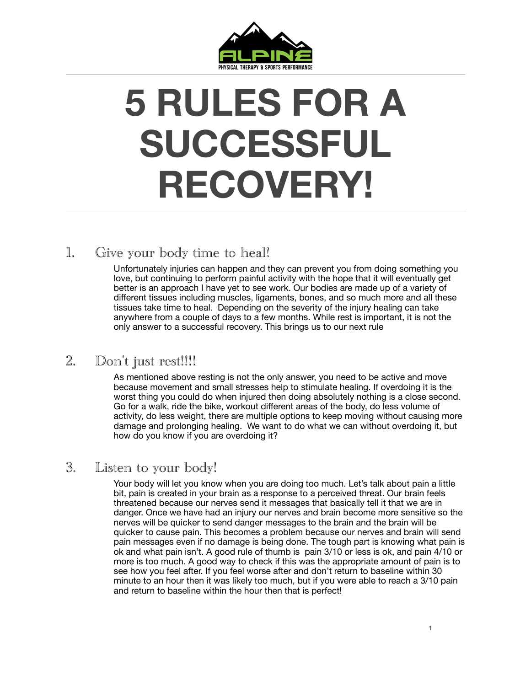

# **5 RULES FOR A SUCCESSFUL RECOVERY!**

## 1. Give your body time to heal!

Unfortunately injuries can happen and they can prevent you from doing something you love, but continuing to perform painful activity with the hope that it will eventually get better is an approach I have yet to see work. Our bodies are made up of a variety of different tissues including muscles, ligaments, bones, and so much more and all these tissues take time to heal. Depending on the severity of the injury healing can take anywhere from a couple of days to a few months. While rest is important, it is not the only answer to a successful recovery. This brings us to our next rule

#### 2. Don't just rest!!!!

As mentioned above resting is not the only answer, you need to be active and move because movement and small stresses help to stimulate healing. If overdoing it is the worst thing you could do when injured then doing absolutely nothing is a close second. Go for a walk, ride the bike, workout different areas of the body, do less volume of activity, do less weight, there are multiple options to keep moving without causing more damage and prolonging healing. We want to do what we can without overdoing it, but how do you know if you are overdoing it?

#### 3. Listen to your body!

Your body will let you know when you are doing too much. Let's talk about pain a little bit, pain is created in your brain as a response to a perceived threat. Our brain feels threatened because our nerves send it messages that basically tell it that we are in danger. Once we have had an injury our nerves and brain become more sensitive so the nerves will be quicker to send danger messages to the brain and the brain will be quicker to cause pain. This becomes a problem because our nerves and brain will send pain messages even if no damage is being done. The tough part is knowing what pain is ok and what pain isn't. A good rule of thumb is pain 3/10 or less is ok, and pain 4/10 or more is too much. A good way to check if this was the appropriate amount of pain is to see how you feel after. If you feel worse after and don't return to baseline within 30 minute to an hour then it was likely too much, but if you were able to reach a 3/10 pain and return to baseline within the hour then that is perfect!